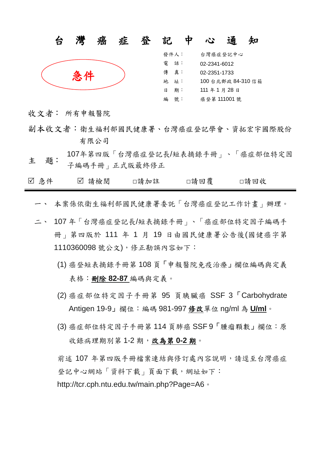

發件人: 台灣癌症登記中心 電 話: 02-2341-6012 傳 真: 02-2351-1733 地 址: 100 台北郵政 84-310 信箱 日 期: 111年1月28日 編 號: 癌登第 111001 號

- 收文者: 所有申報醫院
- 副本收文者:衛生福利部國民健康署、台灣癌症登記學會、資拓宏宇國際股份 有限公司
- 主 題: 107年第四版「台灣癌症登記長/短表摘錄手冊」、「癌症部位特定因 子編碼手冊」正式版最終修正

| ☑ 急件 | ☑ 請檢閱<br>□請加註 | □請回覆 | □請回收 |
|------|---------------|------|------|
|------|---------------|------|------|

- 一、 本案係依衛生福利部國民健康署委託「台灣癌症登記工作計畫」辦理。
- 二、 107 年「台灣癌症登記長/短表摘錄手冊」、「癌症部位特定因子編碼手 冊」第四版於 111 年 1 月 19 日由國民健康署公告後(國健癌字第 1110360098 號公文),修正勘誤內容如下:
	- (1) 癌登短表摘錄手冊第 108 頁「申報醫院免疫治療」欄位編碼與定義 表格:刪除 **82-87** 編碼與定義。
	- (2) 癌症部位特定因子手冊第 95 頁胰臟癌 SSF 3「Carbohydrate Antigen 19-9」欄位:編碼 981-997 修改單位 ng/ml 為 **U/ml**。
	- (3) 癌症部位特定因子手冊第 114 頁肺癌 SSF 9「腫瘤顆數」欄位:原 收錄病理期別第1-2期,改為第0-2期。

前述 107 年第四版手冊檔案連結與修訂處內容說明,請逕至台灣癌症 登記中心網站「資料下載」頁面下載,網址如下: http://tcr.cph.ntu.edu.tw/main.php?Page=A6。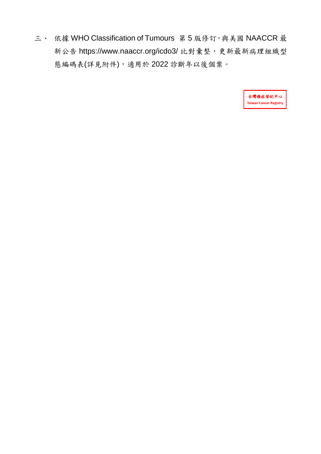三、 依據 WHO Classification of Tumours 第5版修訂,與美國 NAACCR 最 新公告 <https://www.naaccr.org/icdo3/> 比對彙整,更新最新病理組織型 態編碼表(詳見附件),適用於 2022 診斷年以後個案。

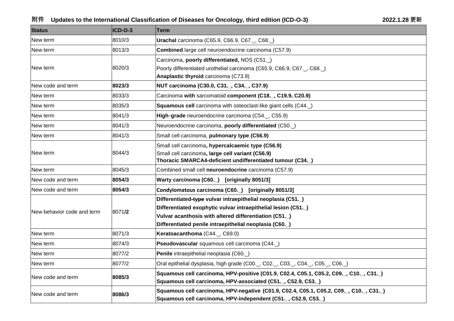## **附件 Updates to the International Classification of Diseases for Oncology, third edition (ICD-O-3) 2022.1.28 更新**

| <b>Status</b>              | ICD-O-3 | Term                                                                                                                                                                                                                                            |
|----------------------------|---------|-------------------------------------------------------------------------------------------------------------------------------------------------------------------------------------------------------------------------------------------------|
| New term                   | 8010/3  | Urachal carcinoma (C65.9, C66.9, C67., C68.)                                                                                                                                                                                                    |
| New term                   | 8013/3  | Combined large cell neuroendocrine carcinoma (C57.9)                                                                                                                                                                                            |
| New term                   | 8020/3  | Carcinoma, poorly differentiated, NOS (C51.)<br>Poorly differentiated urothelial carcinoma (C65.9, C66.9, C67., C68.)<br>Anaplastic thyroid carcinoma (C73.9)                                                                                   |
| New code and term          | 8023/3  | NUT carcinoma (C30.0, C31., C34., C37.9)                                                                                                                                                                                                        |
| New term                   | 8033/3  | Carcinoma with sarcomatoid component (C18., C19.9, C20.9)                                                                                                                                                                                       |
| New term                   | 8035/3  | Squamous cell carcinoma with osteoclast-like giant cells (C44.)                                                                                                                                                                                 |
| New term                   | 8041/3  | High-grade neuroendocrine carcinoma (C54., C55.9)                                                                                                                                                                                               |
| New term                   | 8041/3  | Neuroendocrine carcinoma, poorly differentiated (C50.)                                                                                                                                                                                          |
| New term                   | 8041/3  | Small cell carcinoma, pulmonary type (C56.9)                                                                                                                                                                                                    |
| New term                   | 8044/3  | Small cell carcinoma, hypercalcaemic type (C56.9)<br>Small cell carcinoma, large cell variant (C56.9)<br>Thoracic SMARCA4-deficient undifferentiated tumour (C34.)                                                                              |
| New term                   | 8045/3  | Combined small cell neuroendocrine carcinoma (C57.9)                                                                                                                                                                                            |
| New code and term          | 8054/3  | Warty carcinoma (C60.) [originally 8051/3]                                                                                                                                                                                                      |
| lNew code and term         | 8054/3  | Condylomatous carcinoma (C60.) [originally 8051/3]                                                                                                                                                                                              |
| New behavior code and term | 8071/2  | Differentiated-type vulvar intraepithelial neoplasia (C51.)<br>Differentiated exophytic vulvar intraepithelial lesion (C51.)<br>Vulvar acanthosis with altered differentiation (C51.)<br>Differentiated penile intraepithelial neoplasia (C60.) |
| New term                   | 8071/3  | Keratoacanthoma (C44., C69.0)                                                                                                                                                                                                                   |
| New term                   | 8074/3  | Pseudovascular squamous cell carcinoma (C44.)                                                                                                                                                                                                   |
| New term                   | 8077/2  | Penile intraepithelial neoplasia (C60.)                                                                                                                                                                                                         |
| New term                   | 8077/2  | Oral epithelial dysplasia, high grade (C00., C02., C03., C04., C05., C06.)                                                                                                                                                                      |
| New code and term          | 8085/3  | Squamous cell carcinoma, HPV-positive (C01.9, C02.4, C05.1, C05.2, C09., C10., C31.)<br>Squamous cell carcinoma, HPV-associated (C51., C52.9, C53.)                                                                                             |
| New code and term          | 8086/3  | Squamous cell carcinoma, HPV-negative (C01.9, C02.4, C05.1, C05.2, C09., C10., C31.)<br>Squamous cell carcinoma, HPV-independent (C51., C52.9, C53.)                                                                                            |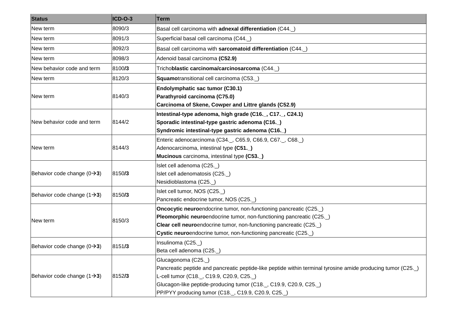| <b>Status</b>                           | ICD-O-3 | <b>Term</b>                                                                                                                                                                                                                                                                                            |
|-----------------------------------------|---------|--------------------------------------------------------------------------------------------------------------------------------------------------------------------------------------------------------------------------------------------------------------------------------------------------------|
| New term                                | 8090/3  | Basal cell carcinoma with adnexal differentiation (C44.                                                                                                                                                                                                                                                |
| New term                                | 8091/3  | Superficial basal cell carcinoma (C44.                                                                                                                                                                                                                                                                 |
| New term                                | 8092/3  | Basal cell carcinoma with sarcomatoid differentiation (C44.                                                                                                                                                                                                                                            |
| New term                                | 8098/3  | Adenoid basal carcinoma (C52.9)                                                                                                                                                                                                                                                                        |
| New behavior code and term              | 8100/3  | Trichoblastic carcinoma/carcinosarcoma (C44.)                                                                                                                                                                                                                                                          |
| New term                                | 8120/3  | Squamotransitional cell carcinoma (C53.)                                                                                                                                                                                                                                                               |
| New term                                | 8140/3  | Endolymphatic sac tumor (C30.1)<br>Parathyroid carcinoma (C75.0)<br>Carcinoma of Skene, Cowper and Littre glands (C52.9)                                                                                                                                                                               |
| New behavior code and term              | 8144/2  | Intestinal-type adenoma, high grade (C16., C17., C24.1)<br>Sporadic intestinal-type gastric adenoma (C16.)<br>Syndromic intestinal-type gastric adenoma (C16.)                                                                                                                                         |
| New term                                | 8144/3  | Enteric adenocarcinoma (C34., C65.9, C66.9, C67., C68.)<br>Adenocarcinoma, intestinal type (C51.)<br>Mucinous carcinoma, intestinal type (C53.                                                                                                                                                         |
| Behavior code change $(0\rightarrow 3)$ | 8150/3  | Islet cell adenoma (C25.)<br>Islet cell adenomatosis (C25.)<br>Nesidioblastoma (C25.                                                                                                                                                                                                                   |
| Behavior code change $(1\rightarrow 3)$ | 8150/3  | Islet cell tumor, NOS (C25.)<br>Pancreatic endocrine tumor, NOS (C25.                                                                                                                                                                                                                                  |
| New term                                | 8150/3  | Oncocytic neuroendocrine tumor, non-functioning pancreatic (C25.<br>Pleomorphic neuroendocrine tumor, non-functioning pancreatic (C25.<br>Clear cell neuroendocrine tumor, non-functioning pancreatic (C25.)<br>Cystic neuroendocrine tumor, non-functioning pancreatic (C25.                          |
| Behavior code change $(0\rightarrow 3)$ | 8151/3  | Insulinoma (C25.)<br>Beta cell adenoma (C25.)                                                                                                                                                                                                                                                          |
| Behavior code change $(1\rightarrow 3)$ | 8152/3  | Glucagonoma (C25.)<br>Pancreatic peptide and pancreatic peptide-like peptide within terminal tyrosine amide producing tumor (C25.)<br>L-cell tumor (C18., C19.9, C20.9, C25.)<br>Glucagon-like peptide-producing tumor (C18., C19.9, C20.9, C25.)<br>PP/PYY producing tumor (C18., C19.9, C20.9, C25.) |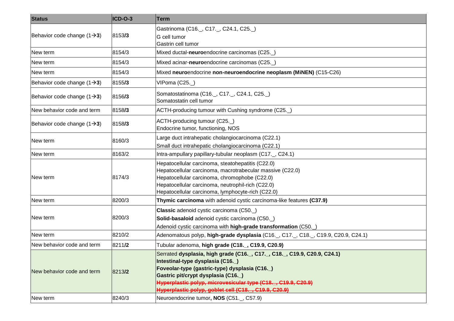| <b>Status</b>                           | ICD-O-3 | <b>Term</b>                                                                                                                                                                                                                                                                                                               |
|-----------------------------------------|---------|---------------------------------------------------------------------------------------------------------------------------------------------------------------------------------------------------------------------------------------------------------------------------------------------------------------------------|
| Behavior code change $(1\rightarrow 3)$ | 8153/3  | Gastrinoma (C16., C17., C24.1, C25.)<br>G cell tumor<br>Gastrin cell tumor                                                                                                                                                                                                                                                |
| New term                                | 8154/3  | Mixed ductal-neuroendocrine carcinomas (C25.                                                                                                                                                                                                                                                                              |
| New term                                | 8154/3  | Mixed acinar-neuroendocrine carcinomas (C25.)                                                                                                                                                                                                                                                                             |
| New term                                | 8154/3  | Mixed neuroendocrine non-neuroendocrine neoplasm (MiNEN) (C15-C26)                                                                                                                                                                                                                                                        |
| Behavior code change $(1\rightarrow 3)$ | 8155/3  | VIPoma (C25.)                                                                                                                                                                                                                                                                                                             |
| Behavior code change $(1\rightarrow 3)$ | 8156/3  | Somatostatinoma (C16._, C17._, C24.1, C25._)<br>Somatostatin cell tumor                                                                                                                                                                                                                                                   |
| New behavior code and term              | 8158/3  | ACTH-producing tumour with Cushing syndrome (C25.                                                                                                                                                                                                                                                                         |
| Behavior code change $(1\rightarrow 3)$ | 8158/3  | ACTH-producing tumour (C25.<br>Endocrine tumor, functioning, NOS                                                                                                                                                                                                                                                          |
| New term                                | 8160/3  | Large duct intrahepatic cholangiocarcinoma (C22.1)<br>Small duct intrahepatic cholangiocarcinoma (C22.1)                                                                                                                                                                                                                  |
| New term                                | 8163/2  | Intra-ampullary papillary-tubular neoplasm (C17., C24.1)                                                                                                                                                                                                                                                                  |
| New term                                | 8174/3  | Hepatocellular carcinoma, steatohepatitis (C22.0)<br>Hepatocellular carcinoma, macrotrabecular massive (C22.0)<br>Hepatocellular carcinoma, chromophobe (C22.0)<br>Hepatocellular carcinoma, neutrophil-rich (C22.0)<br>Hepatocellular carcinoma, lymphocyte-rich (C22.0)                                                 |
| New term                                | 8200/3  | Thymic carcinoma with adenoid cystic carcinoma-like features (C37.9)                                                                                                                                                                                                                                                      |
| New term                                | 8200/3  | Classic adenoid cystic carcinoma (C50.)<br>Solid-basaloid adenoid cystic carcinoma (C50.<br>Adenoid cystic carcinoma with high-grade transformation (C50.                                                                                                                                                                 |
| New term                                | 8210/2  | Adenomatous polyp, high-grade dysplasia (C16., C17., C18., C19.9, C20.9, C24.1)                                                                                                                                                                                                                                           |
| New behavior code and term              | 8211/2  | Tubular adenoma, high grade (C18., C19.9, C20.9)                                                                                                                                                                                                                                                                          |
| New behavior code and term              | 8213/2  | Serrated dysplasia, high grade (C16., C17., C18., C19.9, C20.9, C24.1)<br>Intestinal-type dysplasia (C16.)<br>Foveolar-type (gastric-type) dysplasia (C16.)<br>Gastric pit/crypt dysplasia (C16.)<br>Hyperplastic polyp, microvesicular type (C18., C19.9, C20.9)<br>Hyperplastic polyp, goblet cell (C18., C19.9, C20.9) |
| New term                                | 8240/3  | Neuroendocrine tumor, NOS (C51., C57.9)                                                                                                                                                                                                                                                                                   |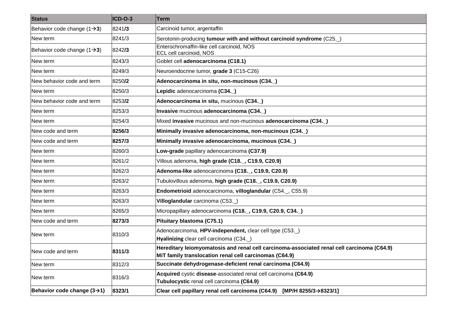| <b>Status</b>                           | ICD-O-3 | Term                                                                                                                                                 |
|-----------------------------------------|---------|------------------------------------------------------------------------------------------------------------------------------------------------------|
| Behavior code change $(1\rightarrow 3)$ | 8241/3  | Carcinoid tumor, argentaffin                                                                                                                         |
| New term                                | 8241/3  | Serotonin-producing tumour with and without carcinoid syndrome (C25.                                                                                 |
| Behavior code change $(1\rightarrow 3)$ | 8242/3  | Enterochromaffin-like cell carcinoid, NOS<br><b>ECL cell carcinoid, NOS</b>                                                                          |
| New term                                | 8243/3  | Goblet cell adenocarcinoma (C18.1)                                                                                                                   |
| New term                                | 8249/3  | Neuroendocrine tumor, grade 3 (C15-C26)                                                                                                              |
| New behavior code and term              | 8250/2  | Adenocarcinoma in situ, non-mucinous (C34.)                                                                                                          |
| New term                                | 8250/3  | Lepidic adenocarcinoma (C34.)                                                                                                                        |
| New behavior code and term              | 8253/2  | Adenocarcinoma in situ, mucinous (C34.)                                                                                                              |
| New term                                | 8253/3  | Invasive mucinous adenocarcinoma (C34.)                                                                                                              |
| New term                                | 8254/3  | Mixed invasive mucinous and non-mucinous adenocarcinoma (C34.)                                                                                       |
| New code and term                       | 8256/3  | Minimally invasive adenocarcinoma, non-mucinous (C34.)                                                                                               |
| New code and term                       | 8257/3  | Minimally invasive adenocarcinoma, mucinous (C34.)                                                                                                   |
| New term                                | 8260/3  | Low-grade papillary adenocarcinoma (C37.9)                                                                                                           |
| New term                                | 8261/2  | Villous adenoma, high grade (C18., C19.9, C20.9)                                                                                                     |
| New term                                | 8262/3  | Adenoma-like adenocarcinoma (C18., C19.9, C20.9)                                                                                                     |
| New term                                | 8263/2  | Tubulovillous adenoma, high grade (C18., C19.9, C20.9)                                                                                               |
| New term                                | 8263/3  | Endometrioid adenocarcinoma, villoglandular (C54., C55.9)                                                                                            |
| New term                                | 8263/3  | Villoglandular carcinoma (C53.)                                                                                                                      |
| New term                                | 8265/3  | Micropapillary adenocarcinoma (C18., C19.9, C20.9, C34.)                                                                                             |
| New code and term                       | 8273/3  | Pituitary blastoma (C75.1)                                                                                                                           |
| New term                                | 8310/3  | Adenocarcinoma, HPV-independent, clear cell type (C53.)<br>Hyalinizing clear cell carcinoma (C34.)                                                   |
| New code and term                       | 8311/3  | Hereditary leiomyomatosis and renal cell carcinoma-associated renal cell carcinoma (C64.9)<br>MiT family translocation renal cell carcinomas (C64.9) |
| New term                                | 8312/3  | Succinate dehydrogenase-deficient renal carcinoma (C64.9)                                                                                            |
| New term                                | 8316/3  | Acquired cystic disease-associated renal cell carcinoma (C64.9)<br>Tubulocystic renal cell carcinoma (C64.9)                                         |
| Behavior code change $(3\rightarrow 1)$ | 8323/1  | Clear cell papillary renal cell carcinoma (C64.9)<br>[MP/H 8255/3 $\rightarrow$ 8323/1]                                                              |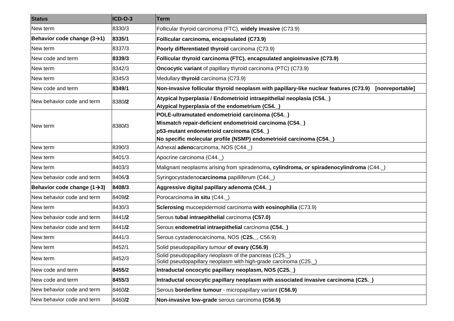| <b>Status</b>                           | ICD-O-3 | <b>Term</b>                                                                                                                                                                                                                 |
|-----------------------------------------|---------|-----------------------------------------------------------------------------------------------------------------------------------------------------------------------------------------------------------------------------|
| New term                                | 8330/3  | Follicular thyroid carcinoma (FTC), widely invasive (C73.9)                                                                                                                                                                 |
| Behavior code change $(3\rightarrow 1)$ | 8335/1  | Follicular carcinoma, encapsulated (C73.9)                                                                                                                                                                                  |
| New term                                | 8337/3  | Poorly differentiated thyroid carcinoma (C73.9)                                                                                                                                                                             |
| New code and term                       | 8339/3  | Follicular thyroid carcinoma (FTC), encapsulated angioinvasive (C73.9)                                                                                                                                                      |
| New term                                | 8342/3  | <b>Oncocytic variant</b> of papillary thyroid carcinoma (PTC) (C73.9)                                                                                                                                                       |
| New term                                | 8345/3  | Medullary thyroid carcinoma (C73.9)                                                                                                                                                                                         |
| New code and term                       | 8349/1  | Non-invasive follicular thyroid neoplasm with papillary-like nuclear features (C73.9)<br>[nonreportable]                                                                                                                    |
| New behavior code and term              | 8380/2  | Atypical hyperplasia / Endometrioid intraepithelial neoplasia (C54.)<br>Atypical hyperplasia of the endometrium (C54.                                                                                                       |
| New term                                | 8380/3  | POLE-ultramutated endometrioid carcinoma (C54.)<br>Mismatch repair-deficient endometrioid carcinoma (C54.)<br>p53-mutant endometrioid carcinoma (C54.)<br>No specific molecular profile (NSMP) endometrioid carcinoma (C54. |
| New term                                | 8390/3  | Adnexal adenocarcinoma, NOS (C44.)                                                                                                                                                                                          |
| New term                                | 8401/3  | Apocrine carcinoma (C44._)                                                                                                                                                                                                  |
| New term                                | 8403/3  | Malignant neoplasms arising from spiradenoma, cylindroma, or spiradenocylindroma (C44.)                                                                                                                                     |
| New behavior code and term              | 8406/3  | Syringocystadenocarcinoma papilliferum (C44.                                                                                                                                                                                |
| Behavior code change $(1\rightarrow 3)$ | 8408/3  | Aggressive digital papillary adenoma (C44.)                                                                                                                                                                                 |
| New behavior code and term              | 8409/2  | Porocarcinoma in situ (C44.)                                                                                                                                                                                                |
| New term                                | 8430/3  | Sclerosing mucoepidermoid carcinoma with eosinophilia (C73.9)                                                                                                                                                               |
| New behavior code and term              | 8441/2  | Serous tubal intraepithelial carcinoma (C57.0)                                                                                                                                                                              |
| New behavior code and term              | 8441/2  | Serous endometrial intraepithelial carcinoma (C54.)                                                                                                                                                                         |
| New term                                | 8441/3  | Serous cystadenocarcinoma, NOS (C25., C56.9)                                                                                                                                                                                |
| New term                                | 8452/1  | Solid pseudopapillary tumour of ovary (C56.9)                                                                                                                                                                               |
| New term                                | 8452/3  | Solid pseudopapillary neoplasm of the pancreas (C25.)<br>Solid pseudopapillary neoplasm with high-grade carcinoma (C25.                                                                                                     |
| New code and term                       | 8455/2  | Intraductal oncocytic papillary neoplasm, NOS (C25.)                                                                                                                                                                        |
| New code and term                       | 8455/3  | Intraductal oncocytic papillary neoplasm with associated invasive carcinoma (C25.)                                                                                                                                          |
| New behavior code and term              | 8460/2  | Serous borderline tumour - micropapillary variant (C56.9)                                                                                                                                                                   |
| New behavior code and term              | 8460/2  | Non-invasive low-grade serous carcinoma (C56.9)                                                                                                                                                                             |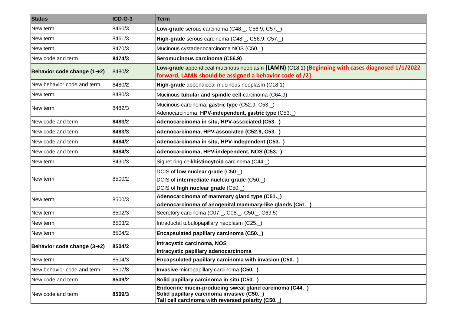| <b>Status</b>                           | ICD-O-3 | Term                                                                                                                                                       |
|-----------------------------------------|---------|------------------------------------------------------------------------------------------------------------------------------------------------------------|
| New term                                | 8460/3  | Low-grade serous carcinoma (C48., C56.9, C57.)                                                                                                             |
| New term                                | 8461/3  | High-grade serous carcinoma (C48., C56.9, C57.)                                                                                                            |
| New term                                | 8470/3  | Mucinous cystadenocarcinoma NOS (C50.)                                                                                                                     |
| New code and term                       | 8474/3  | Seromucinous carcinoma (C56.9)                                                                                                                             |
| Behavior code change $(1\rightarrow 2)$ | 8480/2  | Low-grade appendiceal mucinous neoplasm (LAMN) (C18.1) [Beginning with cases diagnosed 1/1/2022<br>forward, LAMN should be assigned a behavior code of /2] |
| New behavior code and term              | 8480/2  | High-grade appendiceal mucinous neoplasm (C18.1)                                                                                                           |
| New term                                | 8480/3  | Mucinous tubular and spindle cell carcinoma (C64.9)                                                                                                        |
| New term                                | 8482/3  | Mucinous carcinoma, gastric type (C52.9, C53.)<br>Adenocarcinoma, HPV-independent, gastric type (C53.                                                      |
| New code and term                       | 8483/2  | Adenocarcinoma in situ, HPV-associated (C53.)                                                                                                              |
| New code and term                       | 8483/3  | Adenocarcinoma, HPV-associated (C52.9, C53.)                                                                                                               |
| New code and term                       | 8484/2  | Adenocarcinoma in situ, HPV-independent (C53.)                                                                                                             |
| New code and term                       | 8484/3  | Adenocarcinoma, HPV-independent, NOS (C53.)                                                                                                                |
| New term                                | 8490/3  | Signet ring cell/histiocytoid carcinoma (C44.)                                                                                                             |
| New term                                | 8500/2  | DCIS of low nuclear grade (C50.)<br>DCIS of intermediate nuclear grade (C50.)<br>DCIS of high nuclear grade (C50.                                          |
| New term                                | 8500/3  | Adenocarcinoma of mammary gland type (C51.)<br>Adenocarcinoma of anogenital mammary-like glands (C51.)                                                     |
| New term                                | 8502/3  | Secretory carcinoma (C07. _, C08. _, C50. _, C69.5)                                                                                                        |
| New term                                | 8503/2  | Intraductal tubulopapillary neoplasm (C25.                                                                                                                 |
| New term                                | 8504/2  | Encapsulated papillary carcinoma (C50.)                                                                                                                    |
| Behavior code change $(3\rightarrow 2)$ | 8504/2  | Intracystic carcinoma, NOS<br>Intracystic papillary adenocarcinoma                                                                                         |
| New term                                | 8504/3  | Encapsulated papillary carcinoma with invasion (C50.)                                                                                                      |
| New behavior code and term              | 8507/3  | Invasive micropapillary carcinoma (C50.)                                                                                                                   |
| New code and term                       | 8509/2  | Solid papillary carcinoma in situ (C50.)                                                                                                                   |
| New code and term                       | 8509/3  | Endocrine mucin-producing sweat gland carcinoma (C44.)<br>Solid papillary carcinoma invasive (C50.)<br>Tall cell carcinoma with reversed polarity (C50.    |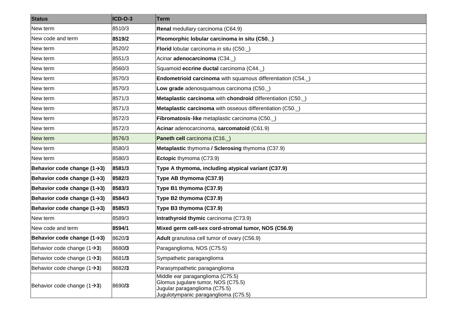| <b>Status</b>                           | ICD-O-3 | Term                                                                                                                                            |
|-----------------------------------------|---------|-------------------------------------------------------------------------------------------------------------------------------------------------|
| New term                                | 8510/3  | Renal medullary carcinoma (C64.9)                                                                                                               |
| New code and term                       | 8519/2  | Pleomorphic lobular carcinoma in situ (C50.)                                                                                                    |
| New term                                | 8520/2  | Florid lobular carcinoma in situ (C50.)                                                                                                         |
| New term                                | 8551/3  | Acinar adenocarcinoma (C34.)                                                                                                                    |
| New term                                | 8560/3  | Squamoid eccrine ductal carcinoma (C44.)                                                                                                        |
| New term                                | 8570/3  | <b>Endometrioid carcinoma</b> with squamous differentiation (C54.)                                                                              |
| New term                                | 8570/3  | Low grade adenosquamous carcinoma (C50.)                                                                                                        |
| New term                                | 8571/3  | Metaplastic carcinoma with chondroid differentiation (C50.                                                                                      |
| New term                                | 8571/3  | Metaplastic carcinoma with osseous differentiation (C50.                                                                                        |
| New term                                | 8572/3  | Fibromatosis-like metaplastic carcinoma (C50.)                                                                                                  |
| New term                                | 8572/3  | Acinar adenocarcinoma, sarcomatoid (C61.9)                                                                                                      |
| New term                                | 8576/3  | Paneth cell carcinoma (C16.)                                                                                                                    |
| New term                                | 8580/3  | Metaplastic thymoma / Sclerosing thymoma (C37.9)                                                                                                |
| New term                                | 8580/3  | Ectopic thymoma (C73.9)                                                                                                                         |
| Behavior code change $(1\rightarrow 3)$ | 8581/3  | Type A thymoma, including atypical variant (C37.9)                                                                                              |
| Behavior code change $(1\rightarrow 3)$ | 8582/3  | Type AB thymoma (C37.9)                                                                                                                         |
| Behavior code change $(1\rightarrow 3)$ | 8583/3  | Type B1 thymoma (C37.9)                                                                                                                         |
| Behavior code change $(1\rightarrow 3)$ | 8584/3  | Type B2 thymoma (C37.9)                                                                                                                         |
| Behavior code change $(1\rightarrow 3)$ | 8585/3  | Type B3 thymoma (C37.9)                                                                                                                         |
| New term                                | 8589/3  | Intrathyroid thymic carcinoma (C73.9)                                                                                                           |
| New code and term                       | 8594/1  | Mixed germ cell-sex cord-stromal tumor, NOS (C56.9)                                                                                             |
| Behavior code change $(1\rightarrow 3)$ | 8620/3  | Adult granulosa cell tumor of ovary (C56.9)                                                                                                     |
| Behavior code change $(1\rightarrow 3)$ | 8680/3  | Paraganglioma, NOS (C75.5)                                                                                                                      |
| Behavior code change $(1\rightarrow 3)$ | 8681/3  | Sympathetic paraganglioma                                                                                                                       |
| Behavior code change $(1\rightarrow 3)$ | 8682/3  | Parasympathetic paraganglioma                                                                                                                   |
| Behavior code change $(1\rightarrow 3)$ | 8690/3  | Middle ear paraganglioma (C75.5)<br>Glomus jugulare tumor, NOS (C75.5)<br>Jugular paraganglioma (C75.5)<br>Jugulotympanic paraganglioma (C75.5) |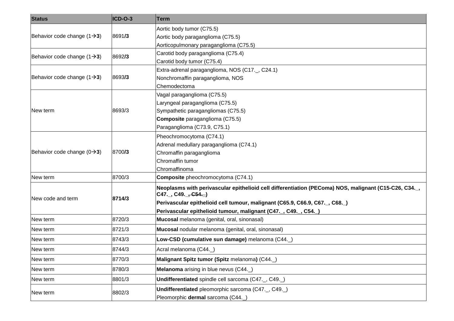| <b>Status</b>                           | ICD-O-3 | Term                                                                                                                                    |
|-----------------------------------------|---------|-----------------------------------------------------------------------------------------------------------------------------------------|
| Behavior code change $(1\rightarrow 3)$ | 8691/3  | Aortic body tumor (C75.5)                                                                                                               |
|                                         |         | Aortic body paraganglioma (C75.5)                                                                                                       |
|                                         |         | Aorticopulmonary paraganglioma (C75.5)                                                                                                  |
| Behavior code change $(1\rightarrow 3)$ | 8692/3  | Carotid body paraganglioma (C75.4)                                                                                                      |
|                                         |         | Carotid body tumor (C75.4)                                                                                                              |
|                                         |         | Extra-adrenal paraganglioma, NOS (C17., C24.1)                                                                                          |
| Behavior code change $(1\rightarrow 3)$ | 8693/3  | Nonchromaffin paraganglioma, NOS                                                                                                        |
|                                         |         | Chemodectoma                                                                                                                            |
|                                         |         | Vagal paraganglioma (C75.5)                                                                                                             |
|                                         |         | Laryngeal paraganglioma (C75.5)                                                                                                         |
| New term                                | 8693/3  | Sympathetic paragangliomas (C75.5)                                                                                                      |
|                                         |         | Composite paraganglioma (C75.5)                                                                                                         |
|                                         |         | Paraganglioma (C73.9, C75.1)                                                                                                            |
|                                         |         | Pheochromocytoma (C74.1)                                                                                                                |
|                                         | 8700/3  | Adrenal medullary paraganglioma (C74.1)                                                                                                 |
| Behavior code change $(0\rightarrow 3)$ |         | Chromaffin paraganglioma                                                                                                                |
|                                         |         | Chromaffin tumor                                                                                                                        |
|                                         |         | Chromaffinoma                                                                                                                           |
| New term                                | 8700/3  | Composite pheochromocytoma (C74.1)                                                                                                      |
|                                         | 8714/3  | Neoplasms with perivascular epithelioid cell differentiation (PEComa) NOS, malignant (C15-C26, C34<br>C47._, C49._ <del>, C54._</del> ) |
| New code and term                       |         | Perivascular epithelioid cell tumour, malignant (C65.9, C66.9, C67., C68.)                                                              |
|                                         |         | Perivascular epithelioid tumour, malignant (C47, C49, C54)                                                                              |
| New term                                | 8720/3  | Mucosal melanoma (genital, oral, sinonasal)                                                                                             |
| New term                                | 8721/3  | Mucosal nodular melanoma (genital, oral, sinonasal)                                                                                     |
| New term                                | 8743/3  | Low-CSD (cumulative sun damage) melanoma (C44.)                                                                                         |
| New term                                | 8744/3  | Acral melanoma (C44.)                                                                                                                   |
| New term                                | 8770/3  | Malignant Spitz tumor (Spitz melanoma) (C44.)                                                                                           |
| New term                                | 8780/3  | Melanoma arising in blue nevus (C44.)                                                                                                   |
| New term                                | 8801/3  | Undifferentiated spindle cell sarcoma (C47., C49.)                                                                                      |
| New term                                | 8802/3  | Undifferentiated pleomorphic sarcoma (C47., C49.)                                                                                       |
|                                         |         | Pleomorphic dermal sarcoma (C44.)                                                                                                       |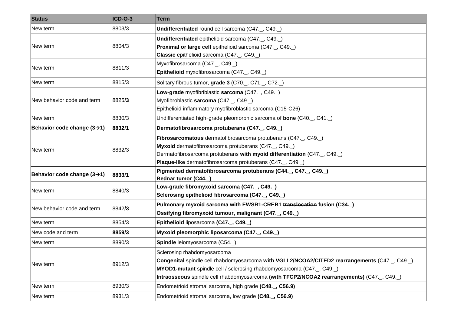| <b>Status</b>                           | ICD-O-3 | Term                                                                                                                                                                                                                                                                                           |
|-----------------------------------------|---------|------------------------------------------------------------------------------------------------------------------------------------------------------------------------------------------------------------------------------------------------------------------------------------------------|
| New term                                | 8803/3  | Undifferentiated round cell sarcoma (C47., C49.)                                                                                                                                                                                                                                               |
| New term                                | 8804/3  | Undifferentiated epithelioid sarcoma (C47., C49.)<br>Proximal or large cell epithelioid sarcoma (C47., C49.)<br>Classic epithelioid sarcoma (C47., C49.)                                                                                                                                       |
| New term                                | 8811/3  | Myxofibrosarcoma (C47., C49.)<br>Epithelioid myxofibrosarcoma (C47., C49.)                                                                                                                                                                                                                     |
| New term                                | 8815/3  | Solitary fibrous tumor, grade 3 (C70., C71., C72.)                                                                                                                                                                                                                                             |
| New behavior code and term              | 8825/3  | Low-grade myofibriblastic sarcoma (C47., C49.)<br>Myofibroblastic sarcoma (C47., C49.)<br>Epithelioid inflammatory myofibroblastic sarcoma (C15-C26)                                                                                                                                           |
| New term                                | 8830/3  | Undifferentiated high-grade pleomorphic sarcoma of bone (C40., C41.)                                                                                                                                                                                                                           |
| Behavior code change $(3\rightarrow 1)$ | 8832/1  | Dermatofibrosarcoma protuberans (C47., C49.)                                                                                                                                                                                                                                                   |
| New term                                | 8832/3  | Fibrosarcomatous dermatofibrosarcoma protuberans (C47., C49.)<br>Myxoid dermatofibrosarcoma protuberans (C47., C49.)<br>Dermatofibrosarcoma protuberans with myoid differentiation (C47., C49.)<br>Plaque-like dermatofibrosarcoma protuberans (C47., C49.)                                    |
| Behavior code change $(3\rightarrow 1)$ | 8833/1  | Pigmented dermatofibrosarcoma protuberans (C44., C47., C49.)<br>Bednar tumor (C44.)                                                                                                                                                                                                            |
| New term                                | 8840/3  | Low-grade fibromyxoid sarcoma (C47., C49.)<br>Sclerosing epithelioid fibrosarcoma (C47., C49.)                                                                                                                                                                                                 |
| New behavior code and term              | 8842/3  | Pulmonary myxoid sarcoma with EWSR1-CREB1 translocation fusion (C34.)<br>Ossifying fibromyxoid tumour, malignant (C47., C49.)                                                                                                                                                                  |
| New term                                | 8854/3  | Epithelioid liposarcoma (C47., C49.)                                                                                                                                                                                                                                                           |
| New code and term                       | 8859/3  | Myxoid pleomorphic liposarcoma (C47., C49.)                                                                                                                                                                                                                                                    |
| New term                                | 8890/3  | Spindle leiomyosarcoma (C54.)                                                                                                                                                                                                                                                                  |
| New term                                | 8912/3  | Sclerosing rhabdomyosarcoma<br>Congenital spindle cell rhabdomyosarcoma with VGLL2/NCOA2/CITED2 rearrangements (C47, C49)<br>MYOD1-mutant spindle cell / sclerosing rhabdomyosarcoma (C47., C49.)<br>Intraosseous spindle cell rhabdomyosarcoma (with TFCP2/NCOA2 rearrangements) (C47., C49.) |
| New term                                | 8930/3  | Endometrioid stromal sarcoma, high grade (C48., C56.9)                                                                                                                                                                                                                                         |
| New term                                | 8931/3  | Endometrioid stromal sarcoma, low grade (C48., C56.9)                                                                                                                                                                                                                                          |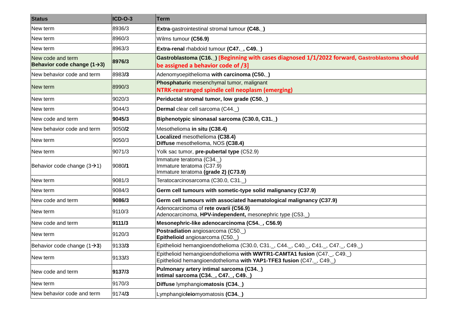| <b>Status</b>                                                | ICD-O-3 | <b>Term</b>                                                                                                                                 |
|--------------------------------------------------------------|---------|---------------------------------------------------------------------------------------------------------------------------------------------|
| New term                                                     | 8936/3  | Extra-gastrointestinal stromal tumour (C48.)                                                                                                |
| New term                                                     | 8960/3  | Wilms tumour (C56.9)                                                                                                                        |
| New term                                                     | 8963/3  | Extra-renal rhabdoid tumour (C47., C49.)                                                                                                    |
| New code and term<br>Behavior code change $(1\rightarrow 3)$ | 8976/3  | Gastroblastoma (C16.) [Beginning with cases diagnosed 1/1/2022 forward, Gastroblastoma should<br>be assigned a behavior code of /3]         |
| New behavior code and term                                   | 8983/3  | Adenomyoepithelioma with carcinoma (C50.)                                                                                                   |
| New term                                                     | 8990/3  | Phosphaturic mesenchymal tumor, malignant<br>NTRK-rearranged spindle cell neoplasm (emerging)                                               |
| New term                                                     | 9020/3  | Periductal stromal tumor, low grade (C50.)                                                                                                  |
| New term                                                     | 9044/3  | Dermal clear cell sarcoma (C44.)                                                                                                            |
| New code and term                                            | 9045/3  | Biphenotypic sinonasal sarcoma (C30.0, C31.)                                                                                                |
| New behavior code and term                                   | 9050/2  | Mesothelioma in situ (C38.4)                                                                                                                |
| New term                                                     | 9050/3  | Localized mesothelioma (C38.4)<br>Diffuse mesothelioma, NOS (C38.4)                                                                         |
| New term                                                     | 9071/3  | Yolk sac tumor, pre-pubertal type (C52.9)                                                                                                   |
| Behavior code change $(3\rightarrow 1)$                      | 9080/1  | Immature teratoma (C34.)<br>Immature teratoma (C37.9)<br>Immature teratoma (grade 2) (C73.9)                                                |
| New term                                                     | 9081/3  | Teratocarcinosarcoma (C30.0, C31.)                                                                                                          |
| New term                                                     | 9084/3  | Germ cell tumours with sometic-type solid malignancy (C37.9)                                                                                |
| New code and term                                            | 9086/3  | Germ cell tumours with associated haematological malignancy (C37.9)                                                                         |
| New term                                                     | 9110/3  | Adenocarcinoma of rete ovarii (C56.9)<br>Adenocarcinoma, HPV-independent, mesonephric type (C53.                                            |
| New code and term                                            | 9111/3  | Mesonephric-like adenocarcinoma (C54., C56.9)                                                                                               |
| New term                                                     | 9120/3  | Postradiation angiosarcoma (C50.)<br>Epithelioid angiosarcoma (C50.                                                                         |
| Behavior code change $(1\rightarrow 3)$                      | 9133/3  | Epithelioid hemangioendothelioma (C30.0, C31._, C44._, C40._, C41._, C47._, C49._)                                                          |
| New term                                                     | 9133/3  | Epithelioid hemangioendothelioma with WWTR1-CAMTA1 fusion (C47, C49)<br>Epithelioid hemangioendothelioma with YAP1-TFE3 fusion (C47., C49.) |
| New code and term                                            | 9137/3  | Pulmonary artery intimal sarcoma (C34.)<br>Intimal sarcoma (C34., C47., C49.)                                                               |
| New term                                                     | 9170/3  | Diffuse lymphangiomatosis (C34.)                                                                                                            |
| New behavior code and term                                   | 9174/3  | Lymphangioleiomyomatosis (C34.)                                                                                                             |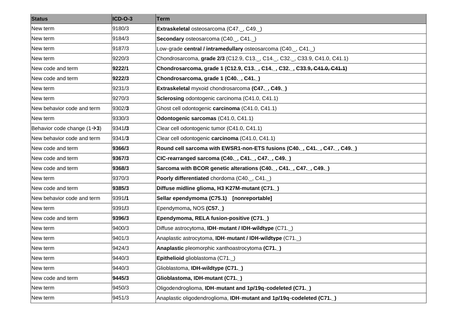| <b>Status</b>                           | ICD-O-3 | <b>Term</b>                                                              |
|-----------------------------------------|---------|--------------------------------------------------------------------------|
| New term                                | 9180/3  | Extraskeletal osteosarcoma (C47., C49.)                                  |
| New term                                | 9184/3  | Secondary osteosarcoma (C40., C41.)                                      |
| New term                                | 9187/3  | Low-grade central / intramedullary osteosarcoma (C40._, C41._)           |
| New term                                | 9220/3  | Chondrosarcoma, grade 2/3 (C12.9, C13., C14., C32., C33.9, C41.0, C41.1) |
| New code and term                       | 9222/1  | Chondrosarcoma, grade 1 (C12.9, C13., C14., C32., C33.9, C41.0, C41.1)   |
| New code and term                       | 9222/3  | Chondrosarcoma, grade 1 (C40., C41.)                                     |
| New term                                | 9231/3  | Extraskeletal myxoid chondrosarcoma (C47., C49.)                         |
| New term                                | 9270/3  | Sclerosing odontogenic carcinoma (C41.0, C41.1)                          |
| New behavior code and term              | 9302/3  | Ghost cell odontogenic carcinoma (C41.0, C41.1)                          |
| New term                                | 9330/3  | Odontogenic sarcomas (C41.0, C41.1)                                      |
| Behavior code change $(1\rightarrow 3)$ | 9341/3  | Clear cell odontogenic tumor (C41.0, C41.1)                              |
| New behavior code and term              | 9341/3  | Clear cell odontogenic carcinoma (C41.0, C41.1)                          |
| New code and term                       | 9366/3  | Round cell sarcoma with EWSR1-non-ETS fusions (C40., C41., C47., C49.)   |
| New code and term                       | 9367/3  | CIC-rearranged sarcoma (C40., C41., C47., C49.)                          |
| New code and term                       | 9368/3  | Sarcoma with BCOR genetic alterations (C40., C41., C47., C49.)           |
| New term                                | 9370/3  | Poorly differentiated chordoma (C40., C41.)                              |
| New code and term                       | 9385/3  | Diffuse midline glioma, H3 K27M-mutant (C71.)                            |
| New behavior code and term              | 9391/1  | Sellar ependymoma (C75.1) [nonreportable]                                |
| New term                                | 9391/3  | Ependymoma, NOS (C57.)                                                   |
| New code and term                       | 9396/3  | Ependymoma, RELA fusion-positive (C71.)                                  |
| New term                                | 9400/3  | Diffuse astrocytoma, IDH-mutant / IDH-wildtype (C71.)                    |
| New term                                | 9401/3  | Anaplastic astrocytoma, IDH-mutant / IDH-wildtype (C71.)                 |
| New term                                | 9424/3  | Anaplastic pleomorphic xanthoastrocytoma (C71.)                          |
| New term                                | 9440/3  | Epithelioid glioblastoma (C71.)                                          |
| New term                                | 9440/3  | Glioblastoma, IDH-wildtype (C71.)                                        |
| New code and term                       | 9445/3  | Glioblastoma, IDH-mutant (C71.)                                          |
| New term                                | 9450/3  | Oligodendroglioma, IDH-mutant and 1p/19q-codeleted (C71.)                |
| New term                                | 9451/3  | Anaplastic oligodendroglioma, IDH-mutant and 1p/19q-codeleted (C71.)     |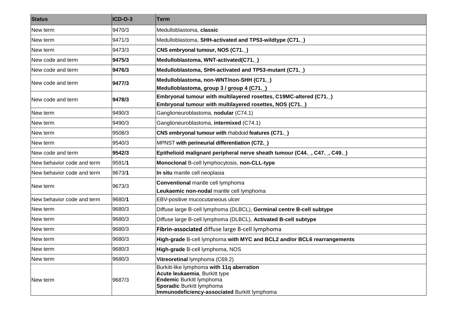| <b>Status</b>              | ICD-O-3 | <b>Term</b>                                                                                                                                                                                |
|----------------------------|---------|--------------------------------------------------------------------------------------------------------------------------------------------------------------------------------------------|
| New term                   | 9470/3  | Medulloblastoma, classic                                                                                                                                                                   |
| New term                   | 9471/3  | Medulloblastoma, SHH-activated and TP53-wildtype (C71.)                                                                                                                                    |
| New term                   | 9473/3  | CNS embryonal tumour, NOS (C71.)                                                                                                                                                           |
| New code and term          | 9475/3  | Medulloblastoma, WNT-activated(C71.)                                                                                                                                                       |
| New code and term          | 9476/3  | Medulloblastoma, SHH-activated and TP53-mutant (C71.)                                                                                                                                      |
| New code and term          | 9477/3  | Medulloblastoma, non-WNT/non-SHH (C71.)<br>Medulloblastoma, group 3 / group 4 (C71._)                                                                                                      |
| New code and term          | 9478/3  | Embryonal tumour with multilayered rosettes, C19MC-altered (C71.)<br>Embryonal tumour with multilayered rosettes, NOS (C71.)                                                               |
| New term                   | 9490/3  | Ganglioneuroblastoma, nodular (C74.1)                                                                                                                                                      |
| New term                   | 9490/3  | Ganglioneuroblastoma, intermixed (C74.1)                                                                                                                                                   |
| New term                   | 9508/3  | CNS embryonal tumour with rhabdoid features (C71.)                                                                                                                                         |
| New term                   | 9540/3  | MPNST with perineurial differentiation (C72.)                                                                                                                                              |
| New code and term          | 9542/3  | Epithelioid malignant peripheral nerve sheath tumour (C44., C47., C49.)                                                                                                                    |
| New behavior code and term | 9591/1  | Monoclonal B-cell lymphocytosis, non-CLL-type                                                                                                                                              |
| New behavior code and term | 9673/1  | In situ mantle cell neoplasia                                                                                                                                                              |
| New term                   | 9673/3  | <b>Conventional mantle cell lymphoma</b><br>Leukaemic non-nodal mantle cell lymphoma                                                                                                       |
| New behavior code and term | 9680/1  | EBV-positive mucocutaneous ulcer                                                                                                                                                           |
| New term                   | 9680/3  | Diffuse large B-cell lymphoma (DLBCL), Germinal centre B-cell subtype                                                                                                                      |
| New term                   | 9680/3  | Diffuse large B-cell lymphoma (DLBCL), Activated B-cell subtype                                                                                                                            |
| New term                   | 9680/3  | Fibrin-associated diffuse large B-cell lymphoma                                                                                                                                            |
| New term                   | 9680/3  | High-grade B-cell lymphoma with MYC and BCL2 and/or BCL6 rearrangements                                                                                                                    |
| New term                   | 9680/3  | High-grade B-cell lymphoma, NOS                                                                                                                                                            |
| New term                   | 9680/3  | Vitreoretinal lymphoma (C69.2)                                                                                                                                                             |
| New term                   | 9687/3  | Burkitt-like lymphoma with 11q aberration<br>Acute leukaemia, Burkitt type<br><b>Endemic Burkitt lymphoma</b><br>Sporadic Burkitt lymphoma<br>Immunodeficiency-associated Burkitt lymphoma |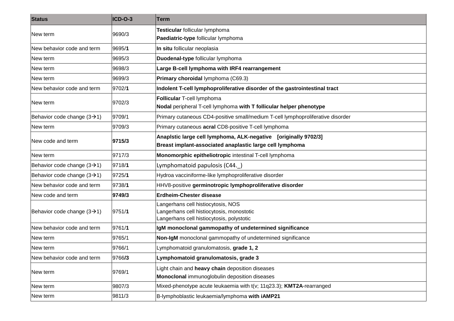| <b>Status</b>                            | ICD-O-3 | Term                                                                                   |
|------------------------------------------|---------|----------------------------------------------------------------------------------------|
| New term                                 | 9690/3  | Testicular follicular lymphoma                                                         |
|                                          |         | Paediatric-type follicular lymphoma                                                    |
| New behavior code and term               | 9695/1  | In situ follicular neoplasia                                                           |
| New term                                 | 9695/3  | Duodenal-type follicular lymphoma                                                      |
| New term                                 | 9698/3  | Large B-cell lymphoma with IRF4 rearrangement                                          |
| New term                                 | 9699/3  | Primary choroidal lymphoma (C69.3)                                                     |
| New behavior code and term               | 9702/1  | Indolent T-cell lymphoproliferative disorder of the gastrointestinal tract             |
|                                          | 9702/3  | Follicular T-cell lymphoma                                                             |
| New term                                 |         | Nodal peripheral T-cell lymphoma with T follicular helper phenotype                    |
| Behavior code change $(3 \rightarrow 1)$ | 9709/1  | Primary cutaneous CD4-positive small/medium T-cell lymphoproliferative disorder        |
| New term                                 | 9709/3  | Primary cutaneous acral CD8-positive T-cell lymphoma                                   |
| New code and term                        | 9715/3  | Anapistic large cell lymphoma, ALK-negative [originally 9702/3]                        |
|                                          |         | Breast implant-associated anaplastic large cell lymphoma                               |
| New term                                 | 9717/3  | Monomorphic epitheliotropic intestinal T-cell lymphoma                                 |
| Behavior code change $(3\rightarrow 1)$  | 9718/1  | Lymphomatoid papulosis (C44.)                                                          |
| Behavior code change $(3 \rightarrow 1)$ | 9725/1  | Hydroa vacciniforme-like lymphoproliferative disorder                                  |
| New behavior code and term               | 9738/1  | HHV8-positive germinotropic lymphoproliferative disorder                               |
| New code and term                        | 9749/3  | Erdheim-Chester disease                                                                |
| Behavior code change $(3 \rightarrow 1)$ | 9751/1  | Langerhans cell histiocytosis, NOS                                                     |
|                                          |         | Langerhans cell histiocytosis, monostotic<br>Langerhans cell histiocytosis, polystotic |
| New behavior code and term               | 9761/1  | IgM monoclonal gammopathy of undetermined significance                                 |
| New term                                 | 9765/1  | Non-IgM monoclonal gammopathy of undetermined significance                             |
|                                          |         |                                                                                        |
| New term                                 | 9766/1  | Lymphomatoid granulomatosis, grade 1, 2                                                |
| New behavior code and term               | 9766/3  | Lymphomatoid granulomatosis, grade 3                                                   |
| New term                                 | 9769/1  | Light chain and heavy chain deposition diseases                                        |
|                                          |         | Monoclonal immunoglobulin deposition diseases                                          |
| New term                                 | 9807/3  | Mixed-phenotype acute leukaemia with $t(v; 11q23.3)$ ; KMT2A-rearranged                |
| New term                                 | 9811/3  | B-lymphoblastic leukaemia/lymphoma with iAMP21                                         |